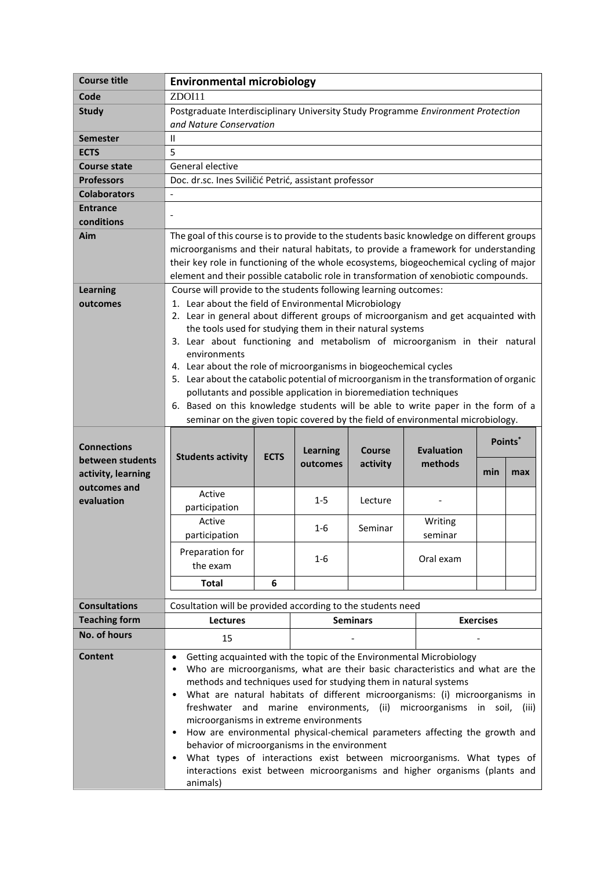| <b>Course title</b>           | <b>Environmental microbiology</b>                                                         |             |                 |                 |                                                                                |                     |     |
|-------------------------------|-------------------------------------------------------------------------------------------|-------------|-----------------|-----------------|--------------------------------------------------------------------------------|---------------------|-----|
| Code                          | ZDOI11                                                                                    |             |                 |                 |                                                                                |                     |     |
| <b>Study</b>                  | Postgraduate Interdisciplinary University Study Programme Environment Protection          |             |                 |                 |                                                                                |                     |     |
|                               | and Nature Conservation                                                                   |             |                 |                 |                                                                                |                     |     |
| <b>Semester</b>               | Ш                                                                                         |             |                 |                 |                                                                                |                     |     |
| <b>ECTS</b>                   | 5                                                                                         |             |                 |                 |                                                                                |                     |     |
| <b>Course state</b>           | General elective                                                                          |             |                 |                 |                                                                                |                     |     |
| <b>Professors</b>             | Doc. dr.sc. Ines Sviličić Petrić, assistant professor                                     |             |                 |                 |                                                                                |                     |     |
| <b>Colaborators</b>           |                                                                                           |             |                 |                 |                                                                                |                     |     |
| <b>Entrance</b><br>conditions |                                                                                           |             |                 |                 |                                                                                |                     |     |
| Aim                           | The goal of this course is to provide to the students basic knowledge on different groups |             |                 |                 |                                                                                |                     |     |
|                               | microorganisms and their natural habitats, to provide a framework for understanding       |             |                 |                 |                                                                                |                     |     |
|                               | their key role in functioning of the whole ecosystems, biogeochemical cycling of major    |             |                 |                 |                                                                                |                     |     |
|                               | element and their possible catabolic role in transformation of xenobiotic compounds.      |             |                 |                 |                                                                                |                     |     |
| <b>Learning</b>               | Course will provide to the students following learning outcomes:                          |             |                 |                 |                                                                                |                     |     |
| outcomes                      | 1. Lear about the field of Environmental Microbiology                                     |             |                 |                 |                                                                                |                     |     |
|                               | 2. Lear in general about different groups of microorganism and get acquainted with        |             |                 |                 |                                                                                |                     |     |
|                               | the tools used for studying them in their natural systems                                 |             |                 |                 |                                                                                |                     |     |
|                               | 3. Lear about functioning and metabolism of microorganism in their natural                |             |                 |                 |                                                                                |                     |     |
|                               | environments<br>4. Lear about the role of microorganisms in biogeochemical cycles         |             |                 |                 |                                                                                |                     |     |
|                               | 5. Lear about the catabolic potential of microorganism in the transformation of organic   |             |                 |                 |                                                                                |                     |     |
|                               | pollutants and possible application in bioremediation techniques                          |             |                 |                 |                                                                                |                     |     |
|                               | 6. Based on this knowledge students will be able to write paper in the form of a          |             |                 |                 |                                                                                |                     |     |
|                               |                                                                                           |             |                 |                 | seminar on the given topic covered by the field of environmental microbiology. |                     |     |
|                               |                                                                                           |             |                 |                 |                                                                                |                     |     |
|                               |                                                                                           |             | <b>Learning</b> | Course          | <b>Evaluation</b>                                                              | Points <sup>®</sup> |     |
| <b>Connections</b>            |                                                                                           |             |                 |                 |                                                                                |                     |     |
| between students              | <b>Students activity</b>                                                                  | <b>ECTS</b> | outcomes        | activity        | methods                                                                        |                     |     |
| activity, learning            |                                                                                           |             |                 |                 |                                                                                | min                 | max |
| outcomes and                  | Active                                                                                    |             |                 |                 |                                                                                |                     |     |
| evaluation                    | participation                                                                             |             | $1 - 5$         | Lecture         |                                                                                |                     |     |
|                               | Active                                                                                    |             |                 |                 | Writing                                                                        |                     |     |
|                               | participation                                                                             |             | $1 - 6$         | Seminar         | seminar                                                                        |                     |     |
|                               | Preparation for                                                                           |             |                 |                 |                                                                                |                     |     |
|                               | the exam                                                                                  |             | $1 - 6$         |                 | Oral exam                                                                      |                     |     |
|                               | <b>Total</b>                                                                              | 6           |                 |                 |                                                                                |                     |     |
|                               |                                                                                           |             |                 |                 |                                                                                |                     |     |
| <b>Consultations</b>          | Cosultation will be provided according to the students need                               |             |                 |                 |                                                                                |                     |     |
| <b>Teaching form</b>          | Lectures                                                                                  |             |                 | <b>Seminars</b> |                                                                                | <b>Exercises</b>    |     |
| No. of hours                  | 15                                                                                        |             |                 |                 |                                                                                |                     |     |
| <b>Content</b>                |                                                                                           |             |                 |                 | Getting acquainted with the topic of the Environmental Microbiology            |                     |     |
|                               |                                                                                           |             |                 |                 | Who are microorganisms, what are their basic characteristics and what are the  |                     |     |
|                               | methods and techniques used for studying them in natural systems                          |             |                 |                 |                                                                                |                     |     |
|                               |                                                                                           |             |                 |                 | What are natural habitats of different microorganisms: (i) microorganisms in   |                     |     |
|                               |                                                                                           |             |                 |                 | freshwater and marine environments, (ii) microorganisms in soil, (iii)         |                     |     |
|                               | microorganisms in extreme environments                                                    |             |                 |                 | How are environmental physical-chemical parameters affecting the growth and    |                     |     |
|                               | behavior of microorganisms in the environment                                             |             |                 |                 |                                                                                |                     |     |
|                               |                                                                                           |             |                 |                 | What types of interactions exist between microorganisms. What types of         |                     |     |
|                               | animals)                                                                                  |             |                 |                 | interactions exist between microorganisms and higher organisms (plants and     |                     |     |